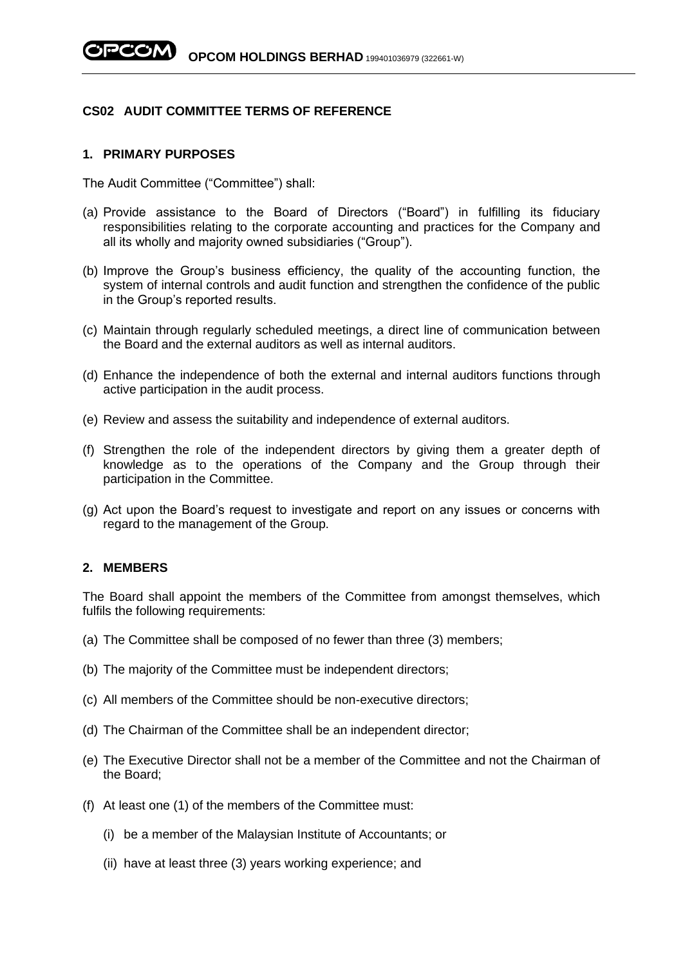# **CS02 AUDIT COMMITTEE TERMS OF REFERENCE**

#### **1. PRIMARY PURPOSES**

The Audit Committee ("Committee") shall:

- (a) Provide assistance to the Board of Directors ("Board") in fulfilling its fiduciary responsibilities relating to the corporate accounting and practices for the Company and all its wholly and majority owned subsidiaries ("Group").
- (b) Improve the Group's business efficiency, the quality of the accounting function, the system of internal controls and audit function and strengthen the confidence of the public in the Group's reported results.
- (c) Maintain through regularly scheduled meetings, a direct line of communication between the Board and the external auditors as well as internal auditors.
- (d) Enhance the independence of both the external and internal auditors functions through active participation in the audit process.
- (e) Review and assess the suitability and independence of external auditors.
- (f) Strengthen the role of the independent directors by giving them a greater depth of knowledge as to the operations of the Company and the Group through their participation in the Committee.
- (g) Act upon the Board's request to investigate and report on any issues or concerns with regard to the management of the Group.

## **2. MEMBERS**

The Board shall appoint the members of the Committee from amongst themselves, which fulfils the following requirements:

- (a) The Committee shall be composed of no fewer than three (3) members;
- (b) The majority of the Committee must be independent directors;
- (c) All members of the Committee should be non-executive directors;
- (d) The Chairman of the Committee shall be an independent director;
- (e) The Executive Director shall not be a member of the Committee and not the Chairman of the Board;
- (f) At least one (1) of the members of the Committee must:
	- (i) be a member of the Malaysian Institute of Accountants; or
	- (ii) have at least three (3) years working experience; and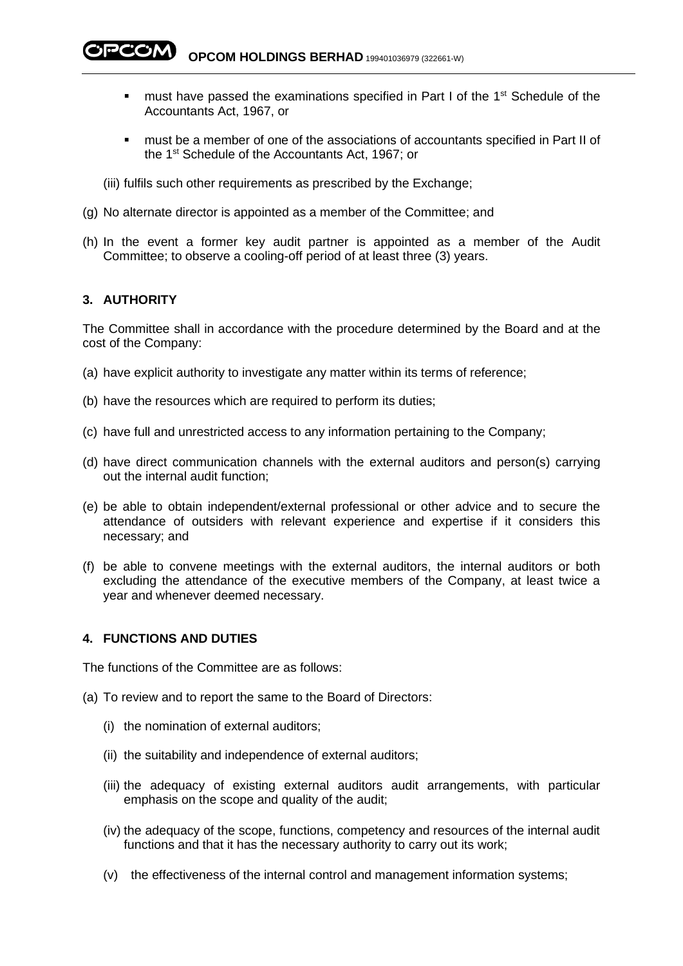- must have passed the examinations specified in Part I of the 1<sup>st</sup> Schedule of the Accountants Act, 1967, or
- must be a member of one of the associations of accountants specified in Part II of the 1st Schedule of the Accountants Act, 1967; or
- (iii) fulfils such other requirements as prescribed by the Exchange;
- (g) No alternate director is appointed as a member of the Committee; and
- (h) In the event a former key audit partner is appointed as a member of the Audit Committee; to observe a cooling-off period of at least three (3) years.

## **3. AUTHORITY**

The Committee shall in accordance with the procedure determined by the Board and at the cost of the Company:

- (a) have explicit authority to investigate any matter within its terms of reference;
- (b) have the resources which are required to perform its duties;
- (c) have full and unrestricted access to any information pertaining to the Company;
- (d) have direct communication channels with the external auditors and person(s) carrying out the internal audit function;
- (e) be able to obtain independent/external professional or other advice and to secure the attendance of outsiders with relevant experience and expertise if it considers this necessary; and
- (f) be able to convene meetings with the external auditors, the internal auditors or both excluding the attendance of the executive members of the Company, at least twice a year and whenever deemed necessary.

### **4. FUNCTIONS AND DUTIES**

The functions of the Committee are as follows:

- (a) To review and to report the same to the Board of Directors:
	- (i) the nomination of external auditors;
	- (ii) the suitability and independence of external auditors;
	- (iii) the adequacy of existing external auditors audit arrangements, with particular emphasis on the scope and quality of the audit;
	- (iv) the adequacy of the scope, functions, competency and resources of the internal audit functions and that it has the necessary authority to carry out its work;
	- (v) the effectiveness of the internal control and management information systems;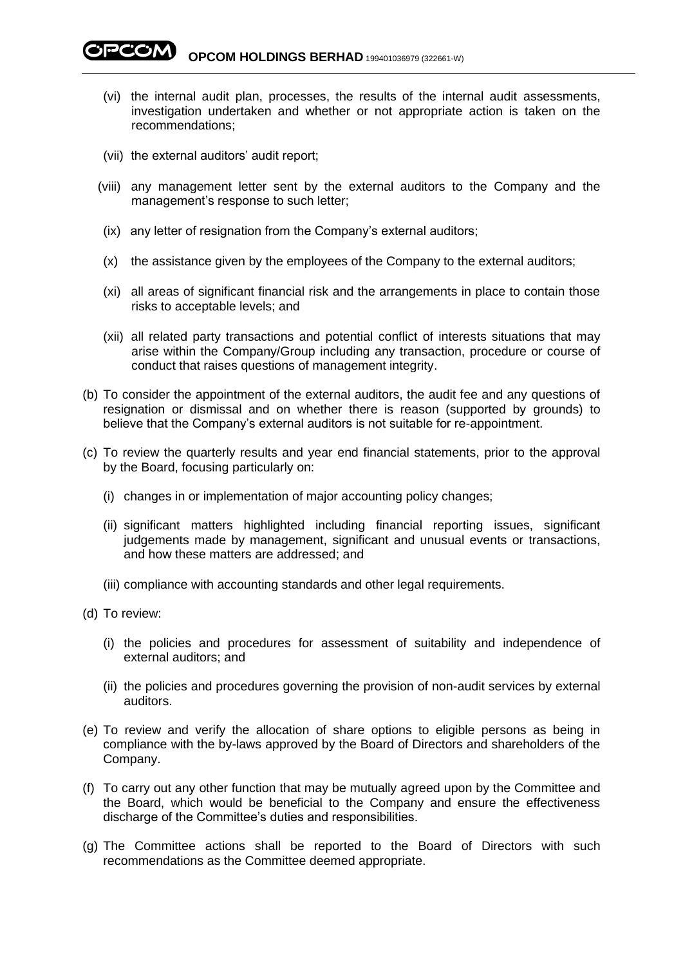**PCOM OPCOM HOLDINGS BERHAD** 199401036979 (322661-W)

- (vi) the internal audit plan, processes, the results of the internal audit assessments, investigation undertaken and whether or not appropriate action is taken on the recommendations;
- (vii) the external auditors' audit report;
- (viii) any management letter sent by the external auditors to the Company and the management's response to such letter;
- (ix) any letter of resignation from the Company's external auditors;
- (x) the assistance given by the employees of the Company to the external auditors;
- (xi) all areas of significant financial risk and the arrangements in place to contain those risks to acceptable levels; and
- (xii) all related party transactions and potential conflict of interests situations that may arise within the Company/Group including any transaction, procedure or course of conduct that raises questions of management integrity.
- (b) To consider the appointment of the external auditors, the audit fee and any questions of resignation or dismissal and on whether there is reason (supported by grounds) to believe that the Company's external auditors is not suitable for re-appointment.
- (c) To review the quarterly results and year end financial statements, prior to the approval by the Board, focusing particularly on:
	- (i) changes in or implementation of major accounting policy changes;
	- (ii) significant matters highlighted including financial reporting issues, significant judgements made by management, significant and unusual events or transactions, and how these matters are addressed; and
	- (iii) compliance with accounting standards and other legal requirements.
- (d) To review:
	- (i) the policies and procedures for assessment of suitability and independence of external auditors; and
	- (ii) the policies and procedures governing the provision of non-audit services by external auditors.
- (e) To review and verify the allocation of share options to eligible persons as being in compliance with the by-laws approved by the Board of Directors and shareholders of the Company.
- (f) To carry out any other function that may be mutually agreed upon by the Committee and the Board, which would be beneficial to the Company and ensure the effectiveness discharge of the Committee's duties and responsibilities.
- (g) The Committee actions shall be reported to the Board of Directors with such recommendations as the Committee deemed appropriate.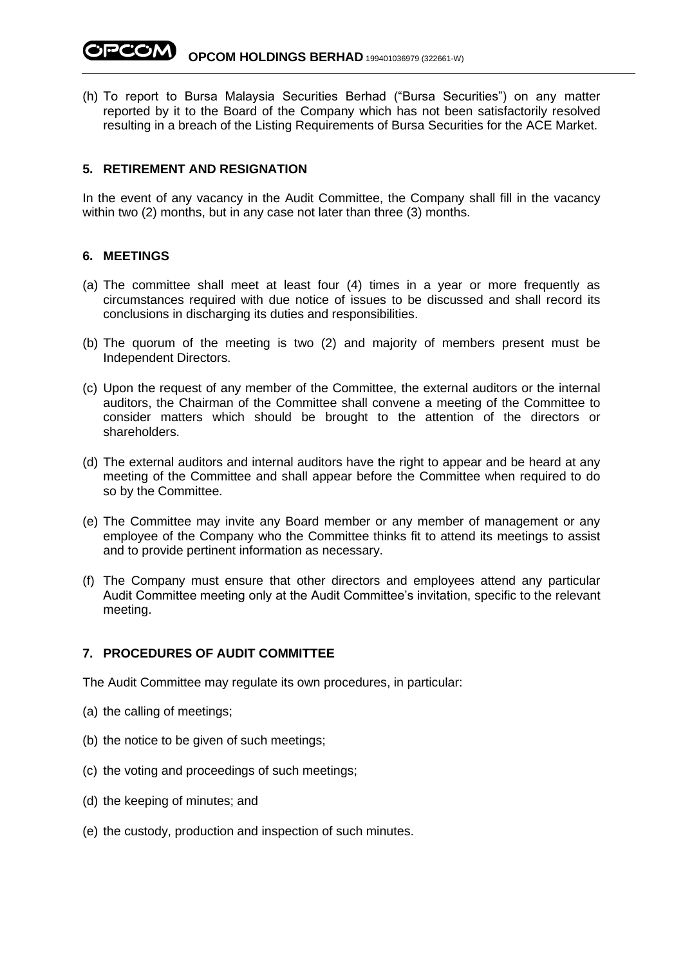**OPCOM HOLDINGS BERHAD** 199401036979 (322661-W)

(h) To report to Bursa Malaysia Securities Berhad ("Bursa Securities") on any matter reported by it to the Board of the Company which has not been satisfactorily resolved resulting in a breach of the Listing Requirements of Bursa Securities for the ACE Market.

### **5. RETIREMENT AND RESIGNATION**

In the event of any vacancy in the Audit Committee, the Company shall fill in the vacancy within two (2) months, but in any case not later than three (3) months.

## **6. MEETINGS**

- (a) The committee shall meet at least four (4) times in a year or more frequently as circumstances required with due notice of issues to be discussed and shall record its conclusions in discharging its duties and responsibilities.
- (b) The quorum of the meeting is two (2) and majority of members present must be Independent Directors.
- (c) Upon the request of any member of the Committee, the external auditors or the internal auditors, the Chairman of the Committee shall convene a meeting of the Committee to consider matters which should be brought to the attention of the directors or shareholders.
- (d) The external auditors and internal auditors have the right to appear and be heard at any meeting of the Committee and shall appear before the Committee when required to do so by the Committee.
- (e) The Committee may invite any Board member or any member of management or any employee of the Company who the Committee thinks fit to attend its meetings to assist and to provide pertinent information as necessary.
- (f) The Company must ensure that other directors and employees attend any particular Audit Committee meeting only at the Audit Committee's invitation, specific to the relevant meeting.

#### **7. PROCEDURES OF AUDIT COMMITTEE**

The Audit Committee may regulate its own procedures, in particular:

- (a) the calling of meetings;
- (b) the notice to be given of such meetings;
- (c) the voting and proceedings of such meetings;
- (d) the keeping of minutes; and
- (e) the custody, production and inspection of such minutes.